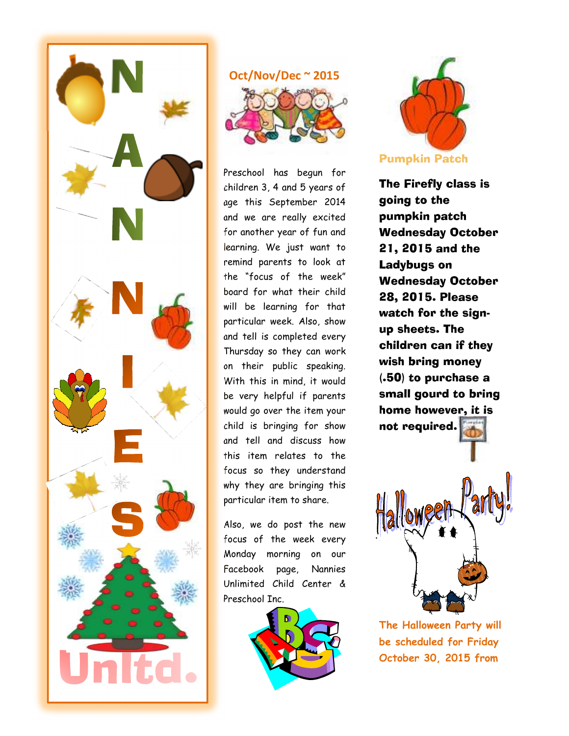

### **Oct/Nov/Dec ~ 2015**



Preschool has begun for children 3, 4 and 5 years of age this September 2014 and we are really excited for another year of fun and learning. We just want to remind parents to look at the "focus of the week" board for what their child will be learning for that particular week. Also, show and tell is completed every Thursday so they can work on their public speaking. With this in mind, it would be very helpful if parents would go over the item your child is bringing for show and tell and discuss how this item relates to the focus so they understand why they are bringing this particular item to share.

Also, we do post the new focus of the week every Monday morning on our Facebook page, Nannies Unlimited Child Center & Preschool Inc.





The Firefly class is going to the pumpkin patch Wednesday October 21, 2015 and the Ladybugs on Wednesday October 28, 2015. Please watch for the signup sheets. The children can if they wish bring money (.50) to purchase a small gourd to bring home however, it is not required.



**The Halloween Party will be scheduled for Friday October 30, 2015 from**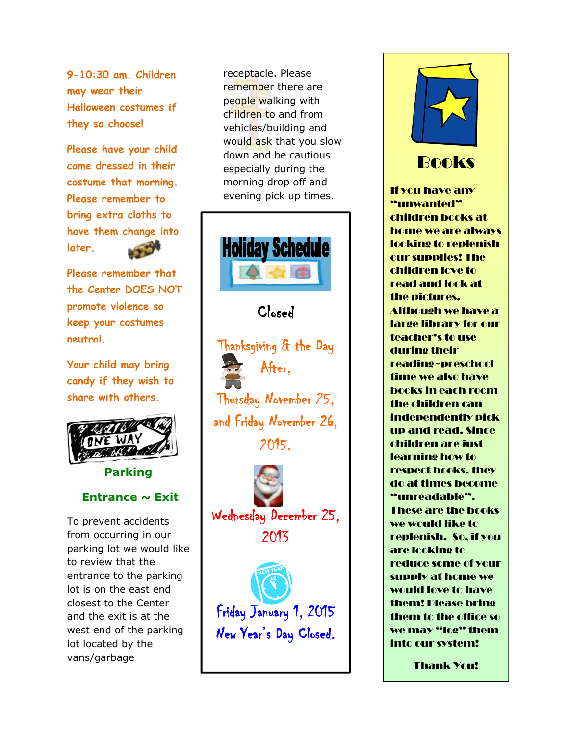**9-10:30 am. Children may wear their Halloween costumes if they so choose!** 

**Please have your child come dressed in their costume that morning. Please remember to bring extra cloths to have them change into later.** 

**Please remember that the Center DOES NOT promote violence so keep your costumes neutral.** 

**Your child may bring candy if they wish to share with others.** 



**Parking** 

### **Entrance ~ Exit**

To prevent accidents from occurring in our parking lot we would like to review that the entrance to the parking lot is on the east end closest to the Center and the exit is at the west end of the parking lot located by the vans/garbage

receptacle. Please remember there are people walking with children to and from vehicles/building and would ask that you slow down and be cautious especially during the morning drop off and evening pick up times.



Friday January 1, 2015 New Year's Day Closed.



## Books

If you have any "unwanted" children books at home we are always looking to replenish our supplies! The children love to read and look at the pictures. Although we have a large library for our teacher's to use during their reading~preschool time we also have books in each room the children can independently pick up and read. Since children are just learning how to respect books, they do at times become "unreadable". These are the books we would like to replenish. So, if you are looking to reduce some of your supply at home we would love to have them! Please bring them to the office so we may "log" them into our system!

Thank You!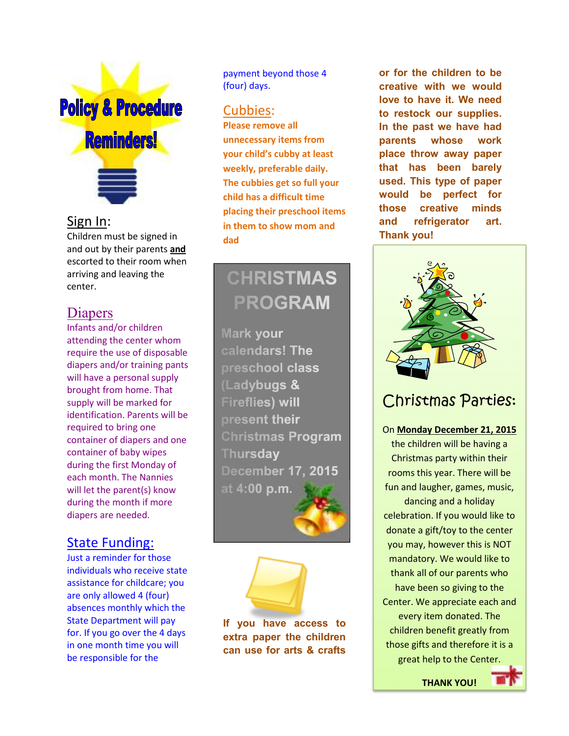# **Policy & Procedure Reminders!**

### Sign In:

Children must be signed in and out by their parents **and** escorted to their room when arriving and leaving the center.

# Diapers

Infants and/or children attending the center whom require the use of disposable diapers and/or training pants will have a personal supply brought from home. That supply will be marked for identification. Parents will be required to bring one container of diapers and one container of baby wipes during the first Monday of each month. The Nannies will let the parent(s) know during the month if more diapers are needed.

# State Funding:

Just a reminder for those individuals who receive state assistance for childcare; you are only allowed 4 (four) absences monthly which the State Department will pay for. If you go over the 4 days in one month time you will be responsible for the

payment beyond those 4 (four) days.

### Cubbies:

**Please remove all unnecessary items from your child's cubby at least weekly, preferable daily. The cubbies get so full your child has a difficult time placing their preschool items in them to show mom and dad** 

# **CHRISTMAS PROGRAM**

**Mark your** calendars! The preschool class (Ladybugs & **Fireflies) will** present their **Christmas Program** Thursday **December 17, 2015** at 4:00 p.m.



**If you have access to extra paper the children can use for arts & crafts** 

**or for the children to be creative with we would love to have it. We need to restock our supplies. In the past we have had parents whose work place throw away paper that has been barely used. This type of paper would be perfect for those creative minds and refrigerator art. Thank you!**



# Christmas Parties:

### On **Monday December 21, 2015**

the children will be having a Christmas party within their rooms this year. There will be fun and laugher, games, music, dancing and a holiday celebration. If you would like to donate a gift/toy to the center you may, however this is NOT mandatory. We would like to thank all of our parents who have been so giving to the Center. We appreciate each and every item donated. The children benefit greatly from those gifts and therefore it is a great help to the Center.

**THANK YOU!** 

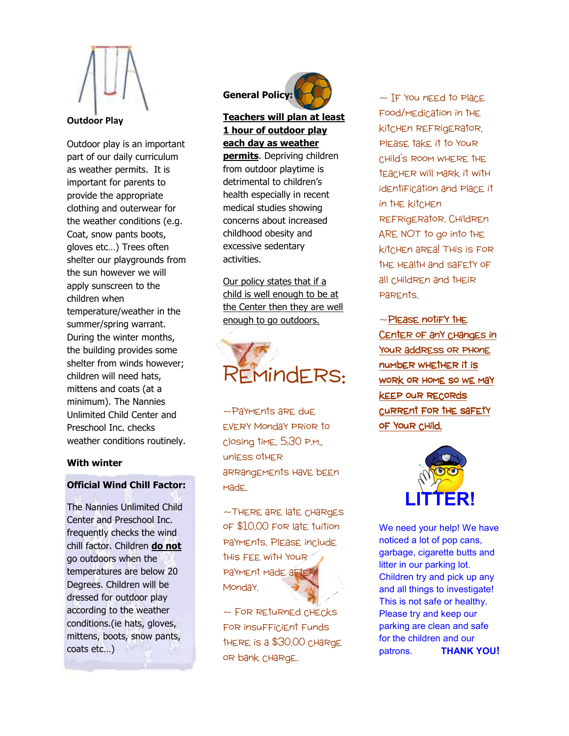

#### **Outdoor Play**

Outdoor play is an important part of our daily curriculum as weather permits. It is important for parents to provide the appropriate clothing and outerwear for the weather conditions (e.g. Coat, snow pants boots, gloves etc…) Trees often shelter our playgrounds from the sun however we will apply sunscreen to the children when temperature/weather in the summer/spring warrant. During the winter months, the building provides some shelter from winds however; children will need hats, mittens and coats (at a minimum). The Nannies Unlimited Child Center and Preschool Inc. checks weather conditions routinely.

#### **With winter**

### **Official Wind Chill Factor:**

The Nannies Unlimited Child Center and Preschool Inc. frequently checks the wind chill factor. Children **do not** go outdoors when the temperatures are below 20 Degrees. Children will be dressed for outdoor play according to the weather conditions.(ie hats, gloves, mittens, boots, snow pants, coats etc…)



### **Teachers will plan at least 1 hour of outdoor play each day as weather**

**permits**. Depriving children from outdoor playtime is detrimental to children's health especially in recent medical studies showing concerns about increased childhood obesity and excessive sedentary activities.

Our policy states that if a child is well enough to be at the Center then they are well enough to go outdoors.



~Payments are due every Monday prior to closing time, 5:30 p.m., unless other arrangements have been made.

~There are late charges of \$10.00 for late tuition payments. Please include this fee with your payment made after Monday.

~ For returned checks for insufficient funds there is a \$30.00 charge or bank charge.

 $\sim$  IF You need to Place food/medication in the kitchen refrigerator, please take it to your child's room where the teacher will mark it with identification and place it in the kitchen refrigerator. Children ARE NOT to go into the kitchen area! This is for the health and safety of all children and their parents.

 $\sim$ Please notify the Center of any changes in Your address or PHonE number whether it is work or home so we may keep our records current for the safety of Your CHild.



We need your help! We have noticed a lot of pop cans, garbage, cigarette butts and litter in our parking lot. Children try and pick up any and all things to investigate! This is not safe or healthy. Please try and keep our parking are clean and safe for the children and our patrons. **THANK YOU!**